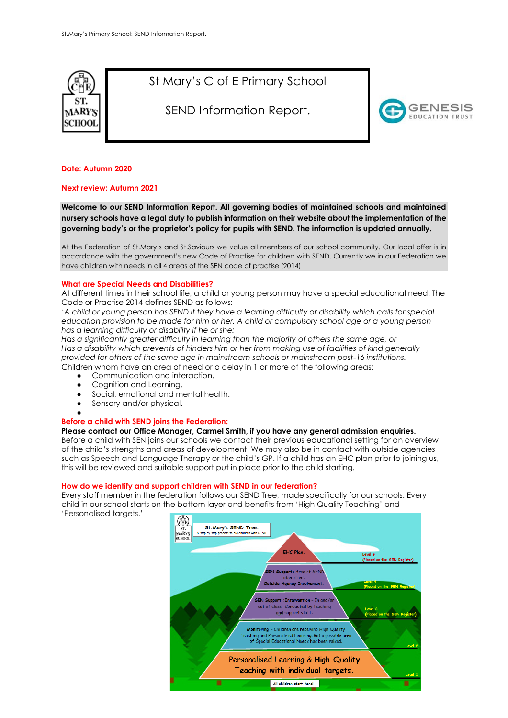

St Mary's C of E Primary School

SEND Information Report.



## **Date: Autumn 2020**

#### **Next review: Autumn 2021**

**Welcome to our SEND Information Report. All governing bodies of maintained schools and maintained nursery schools have a legal duty to publish information on their website about the implementation of the governing body's or the proprietor's policy for pupils with SEND. The information is updated annually.**

At the Federation of St.Mary's and St.Saviours we value all members of our school community. Our local offer is in accordance with the government's new Code of Practise for children with SEND. Currently we in our Federation we have children with needs in all 4 areas of the SEN code of practise (2014)

#### **What are Special Needs and Disabilities?**

At different times in their school life, a child or young person may have a special educational need. The Code or Practise 2014 defines SEND as follows:

*'A child or young person has SEND if they have a learning difficulty or disability which calls for special education provision to be made for him or her. A child or compulsory school age or a young person has a learning difficulty or disability if he or she:* 

*Has a significantly greater difficulty in learning than the majority of others the same age, or Has a disability which prevents of hinders him or her from making use of facilities of kind generally provided for others of the same age in mainstream schools or mainstream post-16 institutions.*  Children whom have an area of need or a delay in 1 or more of the following areas:

- Communication and interaction.
- Cognition and Learning.
- Social, emotional and mental health.
- Sensory and/or physical.
- ●

## **Before a child with SEND joins the Federation:**

#### **Please contact our Office Manager, Carmel Smith, if you have any general admission enquiries.**

Before a child with SEN joins our schools we contact their previous educational setting for an overview of the child's strengths and areas of development. We may also be in contact with outside agencies such as Speech and Language Therapy or the child's GP. If a child has an EHC plan prior to joining us, this will be reviewed and suitable support put in place prior to the child starting.

#### **How do we identify and support children with SEND in our federation?**

Every staff member in the federation follows our SEND Tree, made specifically for our schools. Every child in our school starts on the bottom layer and benefits from 'High Quality Teaching' and 'Personalised targets.'

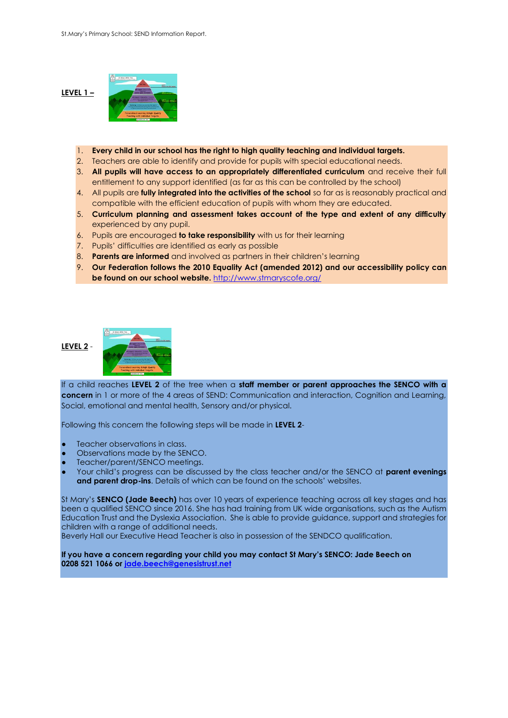## **LEVEL 1 –**



- 1. **Every child in our school has the right to high quality teaching and individual targets.**
- 2. Teachers are able to identify and provide for pupils with special educational needs.
- 3. **All pupils will have access to an appropriately differentiated curriculum** and receive their full entitlement to any support identified (as far as this can be controlled by the school)
- 4. All pupils are **fully integrated into the activities of the school** so far as is reasonably practical and compatible with the efficient education of pupils with whom they are educated.
- 5. **Curriculum planning and assessment takes account of the type and extent of any difficulty** experienced by any pupil.
- 6. Pupils are encouraged **to take responsibility** with us for their learning
- 7. Pupils' difficulties are identified as early as possible
- 8. **Parents are informed** and involved as partners in their children's learning
- 9. **Our Federation follows the 2010 Equality Act (amended 2012) and our accessibility policy can be found on our school website.** <http://www.stmaryscofe.org/>

## **LEVEL 2** -



If a child reaches **LEVEL 2** of the tree when a **staff member or parent approaches the SENCO with a concern** in 1 or more of the 4 areas of SEND: Communication and interaction, Cognition and Learning, Social, emotional and mental health, Sensory and/or physical.

Following this concern the following steps will be made in **LEVEL 2**-

- Teacher observations in class.
- Observations made by the SENCO.
- Teacher/parent/SENCO meetings.
- Your child's progress can be discussed by the class teacher and/or the SENCO at **parent evenings and parent drop-ins**. Details of which can be found on the schools' websites.

St Mary's **SENCO (Jade Beech)** has over 10 years of experience teaching across all key stages and has been a qualified SENCO since 2016. She has had training from UK wide organisations, such as the Autism Education Trust and the Dyslexia Association. She is able to provide guidance, support and strategies for children with a range of additional needs.

Beverly Hall our Executive Head Teacher is also in possession of the SENDCO qualification.

**If you have a concern regarding your child you may contact St Mary's SENCO: Jade Beech on 0208 521 1066 or [jade.beech@genesistrust.net](mailto:jade.beech@genesistrust.net)**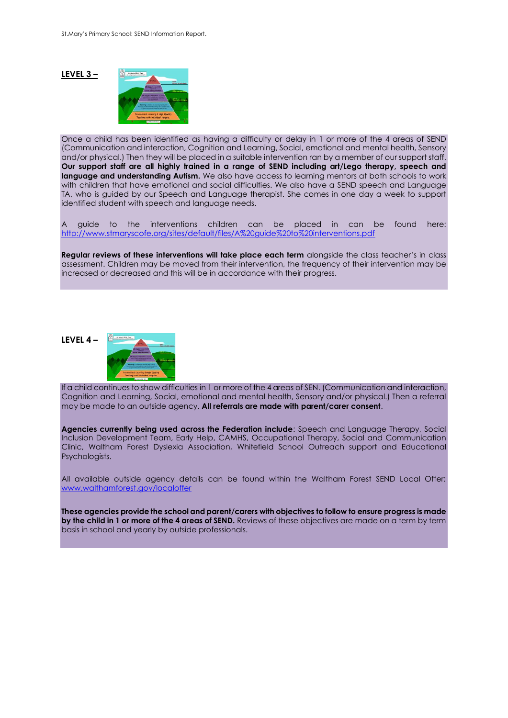### **LEVEL 3 –**



Once a child has been identified as having a difficulty or delay in 1 or more of the 4 areas of SEND (Communication and interaction, Cognition and Learning, Social, emotional and mental health, Sensory and/or physical.) Then they will be placed in a suitable intervention ran by a member of our support staff. **Our support staff are all highly trained in a range of SEND including art/Lego therapy, speech and language and understanding Autism.** We also have access to learning mentors at both schools to work with children that have emotional and social difficulties. We also have a SEND speech and Language TA, who is guided by our Speech and Language therapist. She comes in one day a week to support identified student with speech and language needs.

A guide to the interventions children can be placed in can be found here: <http://www.stmaryscofe.org/sites/default/files/A%20guide%20to%20interventions.pdf>

**Regular reviews of these interventions will take place each term** alongside the class teacher's in class assessment. Children may be moved from their intervention, the frequency of their intervention may be increased or decreased and this will be in accordance with their progress.

# **LEVEL 4 –**

If a child continues to show difficulties in 1 or more of the 4 areas of SEN. (Communication and interaction, Cognition and Learning, Social, emotional and mental health, Sensory and/or physical.) Then a referral may be made to an outside agency. **All referrals are made with parent/carer consent**.

**Agencies currently being used across the Federation include**: Speech and Language Therapy, Social Inclusion Development Team, Early Help, CAMHS, Occupational Therapy, Social and Communication Clinic, Waltham Forest Dyslexia Association, Whitefield School Outreach support and Educational Psychologists.

All available outside agency details can be found within the Waltham Forest SEND Local Offer: [www.walthamforest.gov/localoffer](http://www.walthamforest.gov/localoffer)

**These agencies provide the school and parent/carers with objectives to follow to ensure progress is made by the child in 1 or more of the 4 areas of SEND.** Reviews of these objectives are made on a term by term basis in school and yearly by outside professionals.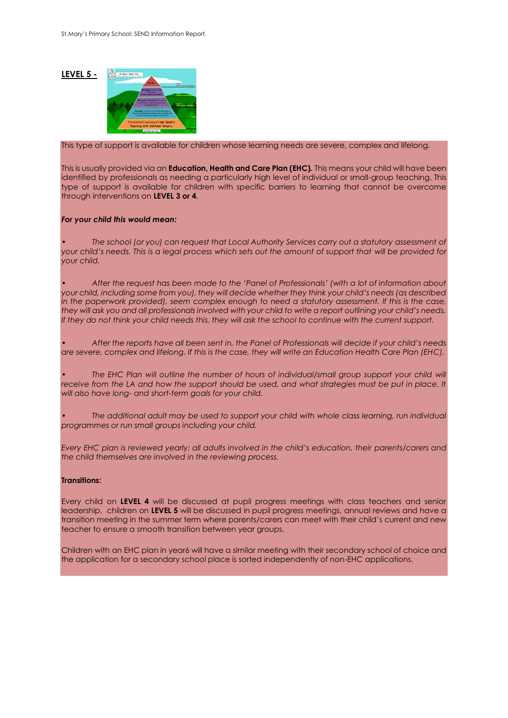## **LEVEL 5 -**



This type of support is available for children whose learning needs are severe, complex and lifelong.

This is usually provided via an **Education, Health and Care Plan (EHC).** This means your child will have been identified by professionals as needing a particularly high level of individual or small-group teaching. This type of support is available for children with specific barriers to learning that cannot be overcome through interventions on **LEVEL 3 or 4**.

#### *For your child this would mean:*

*• The school (or you) can request that Local Authority Services carry out a statutory assessment of your child's needs. This is a legal process which sets out the amount of support that will be provided for your child.*

*• After the request has been made to the 'Panel of Professionals' (with a lot of information about your child, including some from you), they will decide whether they think your child's needs (as described in the paperwork provided), seem complex enough to need a statutory assessment. If this is the case, they will ask you and all professionals involved with your child to write a report outlining your child's needs. If they do not think your child needs this, they will ask the school to continue with the current support.*

*• After the reports have all been sent in, the Panel of Professionals will decide if your child's needs are severe, complex and lifelong. If this is the case, they will write an Education Health Care Plan (EHC).* 

The EHC Plan will outline the number of hours of individual/small group support your child will receive from the LA and how the support should be used, and what strategies must be put in place. It *will also have long- and short-term goals for your child.*

*• The additional adult may be used to support your child with whole class learning, run individual programmes or run small groups including your child.*

*Every EHC plan is reviewed yearly; all adults involved in the child's education, their parents/carers and the child themselves are involved in the reviewing process.*

## **Transitions:**

Every child on **LEVEL 4** will be discussed at pupil progress meetings with class teachers and senior leadership, children on **LEVEL 5** will be discussed in pupil progress meetings, annual reviews and have a transition meeting in the summer term where parents/carers can meet with their child's current and new teacher to ensure a smooth transition between year groups.

Children with an EHC plan in year6 will have a similar meeting with their secondary school of choice and the application for a secondary school place is sorted independently of non-EHC applications.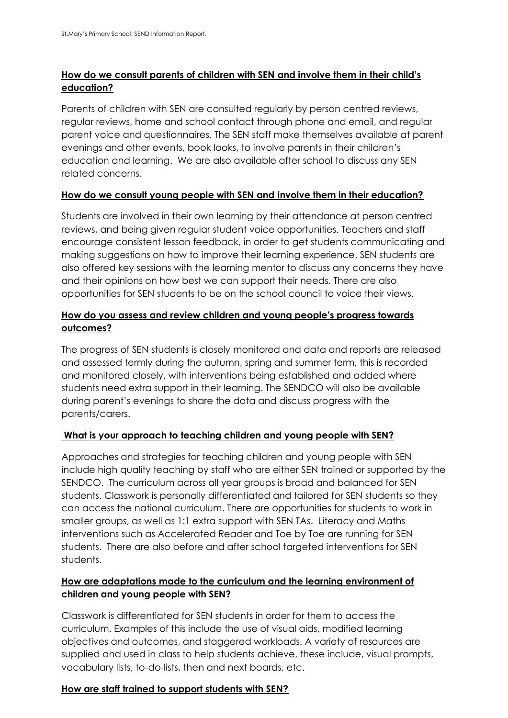# **How do we consult parents of children with SEN and involve them in their child's education?**

Parents of children with SEN are consulted regularly by person centred reviews, regular reviews, home and school contact through phone and email, and regular parent voice and questionnaires. The SEN staff make themselves available at parent evenings and other events, book looks, to involve parents in their children's education and learning. We are also available after school to discuss any SEN related concerns.

# **How do we consult young people with SEN and involve them in their education?**

Students are involved in their own learning by their attendance at person centred reviews, and being given regular student voice opportunities. Teachers and staff encourage consistent lesson feedback, in order to get students communicating and making suggestions on how to improve their learning experience. SEN students are also offered key sessions with the learning mentor to discuss any concerns they have and their opinions on how best we can support their needs. There are also opportunities for SEN students to be on the school council to voice their views.

# **How do you assess and review children and young people's progress towards outcomes?**

The progress of SEN students is closely monitored and data and reports are released and assessed termly during the autumn, spring and summer term, this is recorded and monitored closely, with interventions being established and added where students need extra support in their learning. The SENDCO will also be available during parent's evenings to share the data and discuss progress with the parents/carers.

# **What is your approach to teaching children and young people with SEN?**

Approaches and strategies for teaching children and young people with SEN include high quality teaching by staff who are either SEN trained or supported by the SENDCO. The curriculum across all year groups is broad and balanced for SEN students. Classwork is personally differentiated and tailored for SEN students so they can access the national curriculum. There are opportunities for students to work in smaller groups, as well as 1:1 extra support with SEN TAs. Literacy and Maths interventions such as Accelerated Reader and Toe by Toe are running for SEN students. There are also before and after school targeted interventions for SEN students.

# **How are adaptations made to the curriculum and the learning environment of children and young people with SEN?**

Classwork is differentiated for SEN students in order for them to access the curriculum. Examples of this include the use of visual aids, modified learning objectives and outcomes, and staggered workloads. A variety of resources are supplied and used in class to help students achieve, these include, visual prompts, vocabulary lists, to-do-lists, then and next boards, etc.

## **How are staff trained to support students with SEN?**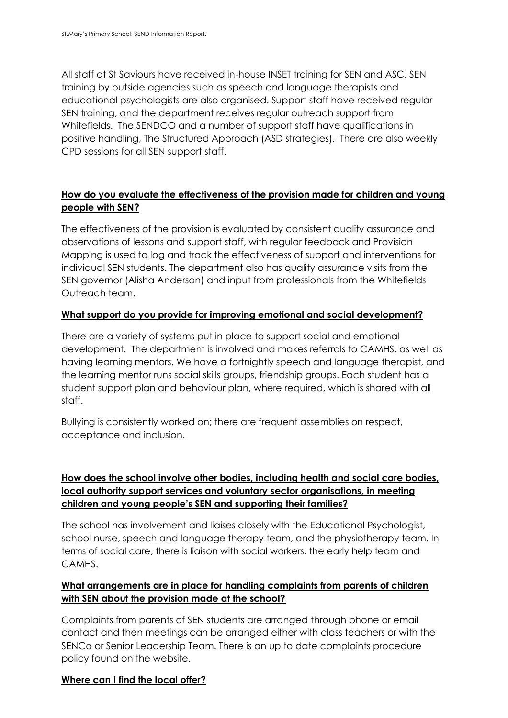All staff at St Saviours have received in-house INSET training for SEN and ASC. SEN training by outside agencies such as speech and language therapists and educational psychologists are also organised. Support staff have received regular SEN training, and the department receives regular outreach support from Whitefields. The SENDCO and a number of support staff have qualifications in positive handling, The Structured Approach (ASD strategies). There are also weekly CPD sessions for all SEN support staff.

# **How do you evaluate the effectiveness of the provision made for children and young people with SEN?**

The effectiveness of the provision is evaluated by consistent quality assurance and observations of lessons and support staff, with regular feedback and Provision Mapping is used to log and track the effectiveness of support and interventions for individual SEN students. The department also has quality assurance visits from the SEN governor (Alisha Anderson) and input from professionals from the Whitefields Outreach team.

## **What support do you provide for improving emotional and social development?**

There are a variety of systems put in place to support social and emotional development. The department is involved and makes referrals to CAMHS, as well as having learning mentors. We have a fortnightly speech and language therapist, and the learning mentor runs social skills groups, friendship groups. Each student has a student support plan and behaviour plan, where required, which is shared with all staff.

Bullying is consistently worked on; there are frequent assemblies on respect, acceptance and inclusion.

# **How does the school involve other bodies, including health and social care bodies, local authority support services and voluntary sector organisations, in meeting children and young people's SEN and supporting their families?**

The school has involvement and liaises closely with the Educational Psychologist, school nurse, speech and language therapy team, and the physiotherapy team. In terms of social care, there is liaison with social workers, the early help team and CAMHS.

# **What arrangements are in place for handling complaints from parents of children with SEN about the provision made at the school?**

Complaints from parents of SEN students are arranged through phone or email contact and then meetings can be arranged either with class teachers or with the SENCo or Senior Leadership Team. There is an up to date complaints procedure policy found on the website.

## **Where can I find the local offer?**